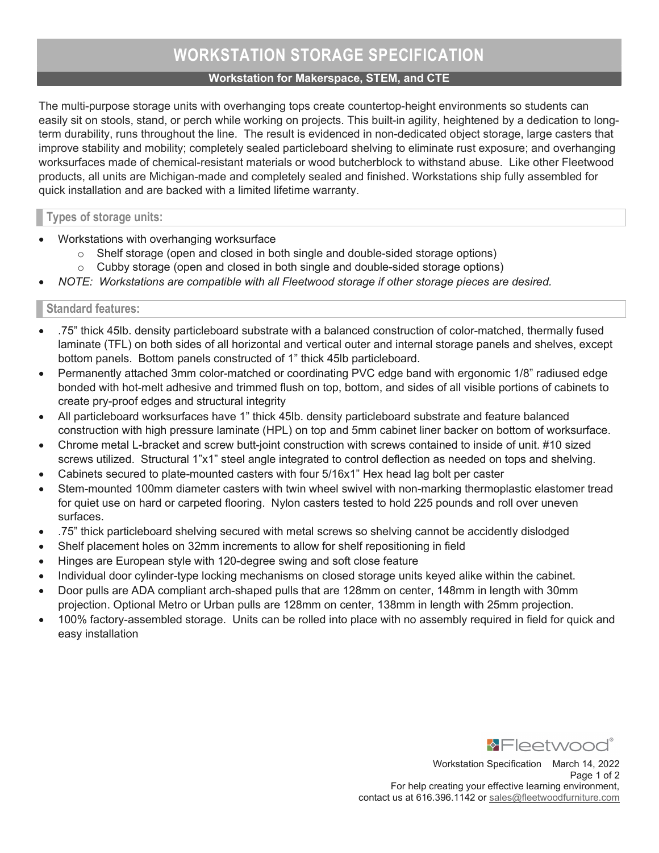## Workstation for Makerspace, STEM, and CTE

The multi-purpose storage units with overhanging tops create countertop-height environments so students can easily sit on stools, stand, or perch while working on projects. This built-in agility, heightened by a dedication to longterm durability, runs throughout the line. The result is evidenced in non-dedicated object storage, large casters that improve stability and mobility; completely sealed particleboard shelving to eliminate rust exposure; and overhanging worksurfaces made of chemical-resistant materials or wood butcherblock to withstand abuse. Like other Fleetwood products, all units are Michigan-made and completely sealed and finished. Workstations ship fully assembled for quick installation and are backed with a limited lifetime warranty.

## Types of storage units:

- Workstations with overhanging worksurface
	- $\circ$  Shelf storage (open and closed in both single and double-sided storage options)
	- $\circ$  Cubby storage (open and closed in both single and double-sided storage options)
- NOTE: Workstations are compatible with all Fleetwood storage if other storage pieces are desired.

# Standard features:

- .75" thick 45lb. density particleboard substrate with a balanced construction of color-matched, thermally fused laminate (TFL) on both sides of all horizontal and vertical outer and internal storage panels and shelves, except bottom panels. Bottom panels constructed of 1" thick 45lb particleboard.
- Permanently attached 3mm color-matched or coordinating PVC edge band with ergonomic 1/8" radiused edge bonded with hot-melt adhesive and trimmed flush on top, bottom, and sides of all visible portions of cabinets to create pry-proof edges and structural integrity
- All particleboard worksurfaces have 1" thick 45lb. density particleboard substrate and feature balanced construction with high pressure laminate (HPL) on top and 5mm cabinet liner backer on bottom of worksurface.
- Chrome metal L-bracket and screw butt-joint construction with screws contained to inside of unit. #10 sized screws utilized. Structural 1"x1" steel angle integrated to control deflection as needed on tops and shelving.
- Cabinets secured to plate-mounted casters with four 5/16x1" Hex head lag bolt per caster
- Stem-mounted 100mm diameter casters with twin wheel swivel with non-marking thermoplastic elastomer tread for quiet use on hard or carpeted flooring. Nylon casters tested to hold 225 pounds and roll over uneven surfaces.
- .75" thick particleboard shelving secured with metal screws so shelving cannot be accidently dislodged
- Shelf placement holes on 32mm increments to allow for shelf repositioning in field
- Hinges are European style with 120-degree swing and soft close feature
- Individual door cylinder-type locking mechanisms on closed storage units keyed alike within the cabinet.
- Door pulls are ADA compliant arch-shaped pulls that are 128mm on center, 148mm in length with 30mm projection. Optional Metro or Urban pulls are 128mm on center, 138mm in length with 25mm projection.
- 100% factory-assembled storage. Units can be rolled into place with no assembly required in field for quick and easy installation